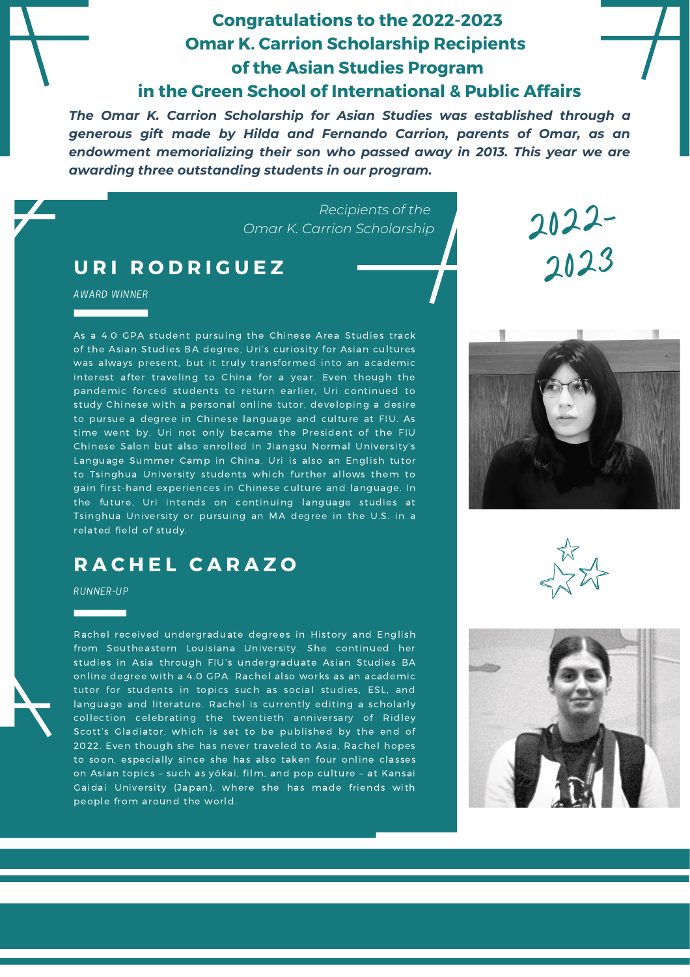## **Congratulations to the 2022-2023 Omar K. Carrion Scholarship Recipients of the Asian Studies Program in the Green School of International & Public Affairs**

*The Omar K. Carrion Scholarship for Asian Studies was established through a generous gift made by Hilda and Fernando Carrion, parents of Omar, as an endowment memorializing their son who passed away in 2013. This year we are awarding three outstanding students in our program.*

> *Recipients of the Omar K. Carrion Scholarship*

## **U R I R O D R I G U E Z**

AWARD WINNER

As a 4.0 GPA student pursuing the Chinese Area Studies track of the Asian Studies BA degree, Uri's curiosity for Asian cultures was always present, but it truly transformed into an academic interest after traveling to China for a year. Even though the pandemic forced students to return earlier, Uri continued to study Chinese with a personal online tutor, developing a desire to pursue a degree in Chinese language and culture at FIU. As time went by, Uri not only became the President of the FIU Chinese Salon but also enrolled in Jiangsu Normal University's Language Summer Camp in China. Uri is also an English tutor to Tsinghua University students which further allows them to gain first-hand experiences in Chinese culture and language. In the future, Uri intends on continuing language studies at Tsinghua University or pursuing an MA degree in the U.S. in a related field of study.

## **R A C H E L C A R A Z O**

RUNNER-UP

Rachel received undergraduate degrees in History and English from Southeastern Louisiana University. She continued her studies in Asia through FIU's undergraduate Asian Studies BA online degree with a 4.0 GPA. Rachel also works as an academic tutor for students in topics such as social studies, ESL, and language and literature. Rachel is currently editing a scholarly collection celebrating the twentieth anniversary of Ridley Scott's Gladiator, which is set to be published by the end of 2022. Even though she has never traveled to Asia, Rachel hopes to soon, especially since she has also taken four online classes on Asian topics – such as yōkai, film, and pop culture – at Kansai Gaidai University (Japan), where she has made friends with people from around the world.



2022-

2023